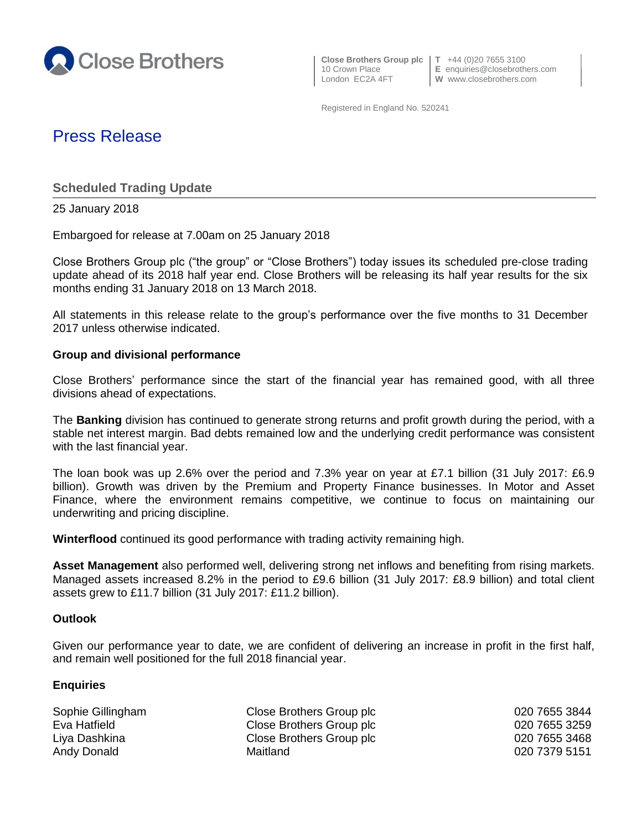

**Close Brothers Group plc T** +44 (0)20 7655 3100

10 Crown Place **E** enquiries@closebrothers.com<br>
London EC2A 4FT **W** www.closebrothers.com W www.closebrothers.com

Registered in England No. 520241

# Press Release

**Scheduled Trading Update**

25 January 2018

Embargoed for release at 7.00am on 25 January 2018

Close Brothers Group plc ("the group" or "Close Brothers") today issues its scheduled pre-close trading update ahead of its 2018 half year end. Close Brothers will be releasing its half year results for the six months ending 31 January 2018 on 13 March 2018.

All statements in this release relate to the group's performance over the five months to 31 December 2017 unless otherwise indicated.

## **Group and divisional performance**

Close Brothers' performance since the start of the financial year has remained good, with all three divisions ahead of expectations.

The **Banking** division has continued to generate strong returns and profit growth during the period, with a stable net interest margin. Bad debts remained low and the underlying credit performance was consistent with the last financial year.

The loan book was up 2.6% over the period and 7.3% year on year at £7.1 billion (31 July 2017: £6.9 billion). Growth was driven by the Premium and Property Finance businesses. In Motor and Asset Finance, where the environment remains competitive, we continue to focus on maintaining our underwriting and pricing discipline.

**Winterflood** continued its good performance with trading activity remaining high.

**Asset Management** also performed well, delivering strong net inflows and benefiting from rising markets. Managed assets increased 8.2% in the period to £9.6 billion (31 July 2017: £8.9 billion) and total client assets grew to £11.7 billion (31 July 2017: £11.2 billion).

## **Outlook**

Given our performance year to date, we are confident of delivering an increase in profit in the first half, and remain well positioned for the full 2018 financial year.

## **Enquiries**

| Sophie Gillingham | Close Brothers Group plc | 020 7655 3844 |
|-------------------|--------------------------|---------------|
| Eva Hatfield      | Close Brothers Group plc | 020 7655 3259 |
| Liya Dashkina     | Close Brothers Group plc | 020 7655 3468 |
| Andy Donald       | Maitland                 | 020 7379 5151 |